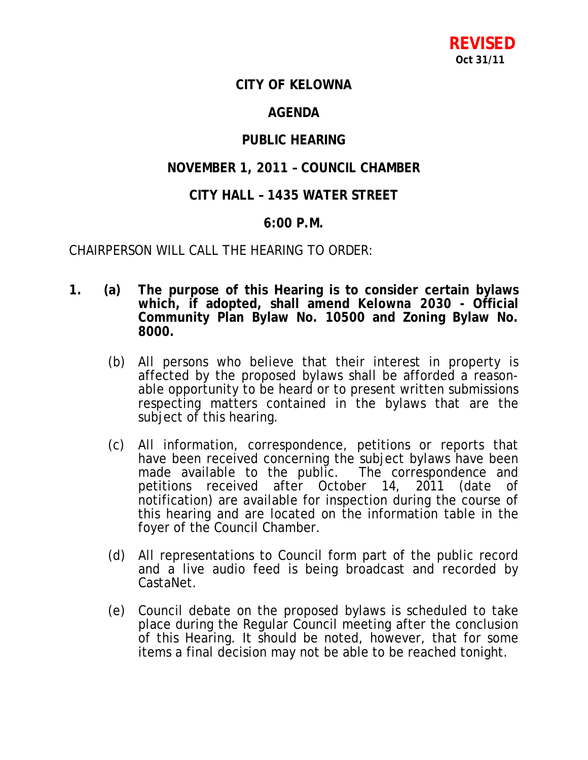# **CITY OF KELOWNA**

# **AGENDA**

# **PUBLIC HEARING**

## **NOVEMBER 1, 2011 – COUNCIL CHAMBER**

# **CITY HALL – 1435 WATER STREET**

## **6:00 P.M.**

CHAIRPERSON WILL CALL THE HEARING TO ORDER:

- **1. (a) The purpose of this Hearing is to consider certain bylaws which, if adopted, shall amend** *Kelowna 2030* **- Official Community Plan Bylaw No. 10500 and Zoning Bylaw No. 8000.**
	- (b) All persons who believe that their interest in property is affected by the proposed bylaws shall be afforded a reasonable opportunity to be heard or to present written submissions respecting matters contained in the bylaws that are the subject of this hearing.
	- (c) All information, correspondence, petitions or reports that have been received concerning the subject bylaws have been made available to the public. The correspondence and petitions received after October 14, 2011 (date of notification) are available for inspection during the course of this hearing and are located on the information table in the foyer of the Council Chamber.
	- (d) All representations to Council form part of the public record and a live audio feed is being broadcast and recorded by CastaNet.
	- (e) Council debate on the proposed bylaws is scheduled to take place during the Regular Council meeting after the conclusion of this Hearing. It should be noted, however, that for some items a final decision may not be able to be reached tonight.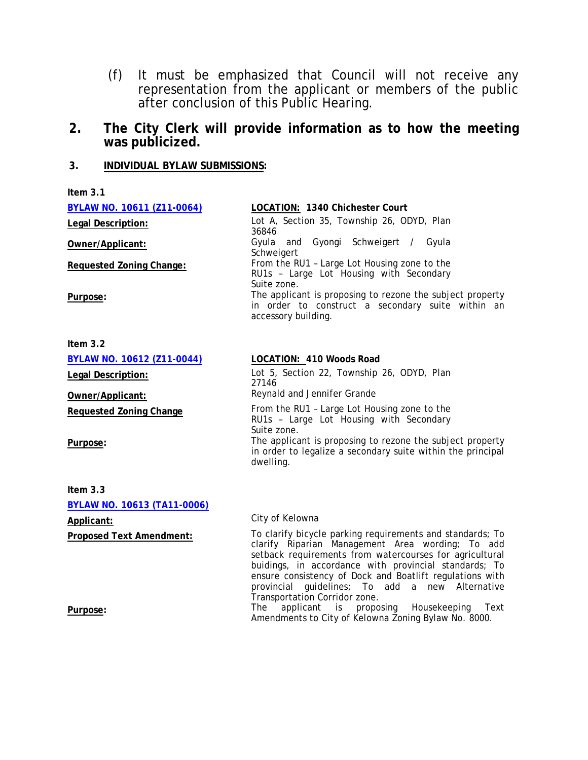(f) It must be emphasized that Council will not receive any representation from the applicant or members of the public after conclusion of this Public Hearing.

## **2. The City Clerk will provide information as to how the meeting was publicized.**

## **3. INDIVIDUAL BYLAW SUBMISSIONS:**

| Item $3.1$                        |                                                                                                                                       |
|-----------------------------------|---------------------------------------------------------------------------------------------------------------------------------------|
| BYLAW NO. 10611 (Z11-0064)        | LOCATION: 1340 Chichester Court                                                                                                       |
| Legal Description:                | Lot A, Section 35, Township 26, ODYD, Plan<br>36846                                                                                   |
| Owner/Applicant:                  | Gyula and Gyongi Schweigert / Gyula<br>Schweigert                                                                                     |
| <b>Requested Zoning Change:</b>   | From the RU1 - Large Lot Housing zone to the<br>RU1s - Large Lot Housing with Secondary<br>Suite zone.                                |
| Purpose:                          | The applicant is proposing to rezone the subject property<br>in order to construct a secondary suite within an<br>accessory building. |
| Item $3.2$                        |                                                                                                                                       |
| <b>BYLAW NO. 10612 (Z11-0044)</b> | LOCATION: 410 Woods Road                                                                                                              |
| <b>Legal Description:</b>         | Lot 5, Section 22, Township 26, ODYD, Plan<br>27146                                                                                   |
| Owner/Applicant:                  | Reynald and Jennifer Grande                                                                                                           |
| <b>Requested Zoning Change</b>    | From the RU1 - Large Lot Housing zone to the<br>RU1s - Large Lot Housing with Secondary<br>Suite zone.                                |
| Purpose:                          | The applicant is proposing to rezone the subject property<br>in order to legalize a secondary suite within the principal<br>dwelling. |
| $l_{\text{max}}$ $\Omega$         |                                                                                                                                       |

**Item 3.3 BYLAW NO. 10613 (TA11-0006)** Applicant: **Applicant:** City of Kelowna

**Proposed Text Amendment:** To clarify bicycle parking requirements and standards; To clarify Riparian Management Area wording; To add setback requirements from watercourses for agricultural buidings, in accordance with provincial standards; To ensure consistency of Dock and Boatlift regulations with provincial guidelines; To add a new Alternative Transportation Corridor zone.

Purpose: **Purpose:** The applicant is proposing Housekeeping Text Amendments to City of Kelowna Zoning Bylaw No. 8000.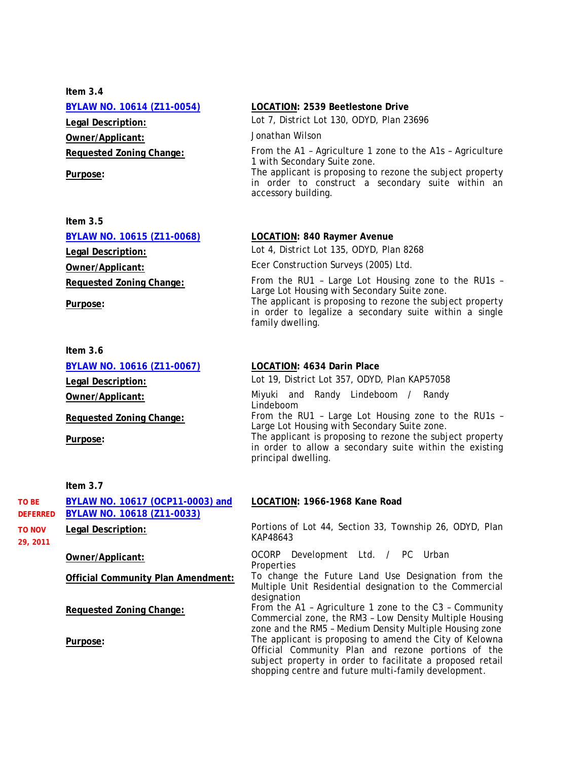**Item 3.4 Owner/Applicant:** Jonathan Wilson

| Item $3.5$                      |                                                                                                                     |
|---------------------------------|---------------------------------------------------------------------------------------------------------------------|
| BYLAW NO. 10615 (Z11-0068)      | <b>LOCATION: 840 Raymer Avenue</b>                                                                                  |
| Legal Description:              | Lot 4, District Lot 135, ODYD, Plan 8268                                                                            |
| Owner/Applicant:                | Ecer Construction Surveys (2005) Ltd.                                                                               |
| <b>Requested Zoning Change:</b> | From the RU1 - Large Lot Housing zone to the RU1s -<br>Large Lot Housing with Secondary Suite zone.                 |
| Purpose:                        | The applicant is proposing to rezone the subject property<br>in order to legalize a secondary suite within a single |

# **Item 3.6 BYLAW NO. 10616 (Z11-0067) LOCATION: 4634 Darin Place Legal Description:** Lot 19, District Lot 357, ODYD, Plan KAP57058 **Owner/Applicant:** Miyuki and Randy Lindeboom / Randy Lindeboom **Requested Zoning Change:** From the RU1 – Large Lot Housing zone to the RU1s –

#### **Item 3.7**

| TO BE                                 | BYLAW NO. 10617 (OCP11-0003) and<br>BYLAW NO. 10618 (Z11-0033) | LOCATION: 1966-1968 Kane Road                                                                                                                                                                                                      |
|---------------------------------------|----------------------------------------------------------------|------------------------------------------------------------------------------------------------------------------------------------------------------------------------------------------------------------------------------------|
| <b>DEFERRED</b><br>TO NOV<br>29, 2011 | Legal Description:                                             | Portions of Lot 44, Section 33, Township 26, ODYD, Plan<br>KAP48643                                                                                                                                                                |
|                                       | Owner/Applicant:                                               | OCORP Development Ltd. / PC Urban<br>Properties                                                                                                                                                                                    |
|                                       | <b>Official Community Plan Amendment:</b>                      | To change the Future Land Use Designation from the<br>Multiple Unit Residential designation to the Commercial<br>designation                                                                                                       |
|                                       | Requested Zoning Change:                                       | From the A1 - Agriculture 1 zone to the C3 - Community<br>Commercial zone, the RM3 - Low Density Multiple Housing<br>zone and the RM5 - Medium Density Multiple Housing zone                                                       |
|                                       | Purpose:                                                       | The applicant is proposing to amend the City of Kelowna<br>Official Community Plan and rezone portions of the<br>subject property in order to facilitate a proposed retail<br>shopping centre and future multi-family development. |

#### **BYLAW NO. 10614 (Z11-0054) LOCATION: 2539 Beetlestone Drive**

**Legal Description:** Lot 7, District Lot 130, ODYD, Plan 23696

**Requested Zoning Change:** From the A1 – Agriculture 1 zone to the A1s – Agriculture 1 with Secondary Suite zone.

**Purpose:** The applicant is proposing to rezone the subject property in order to construct a secondary suite within an accessory building.

> in order to legalize a secondary suite within a single family dwelling.

Large Lot Housing with Secondary Suite zone.

**Purpose:** The applicant is proposing to rezone the subject property in order to allow a secondary suite within the existing principal dwelling.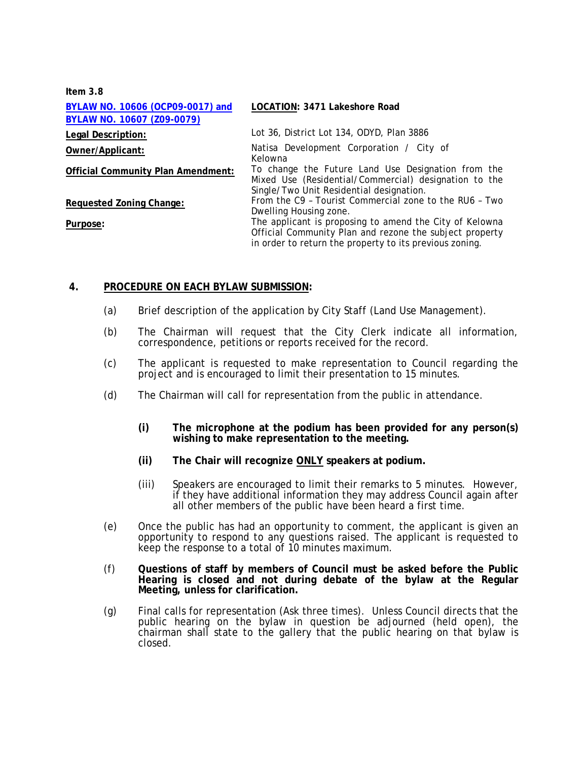| Item $3.8$                                                     |                                                                                                                                                                               |
|----------------------------------------------------------------|-------------------------------------------------------------------------------------------------------------------------------------------------------------------------------|
| BYLAW NO. 10606 (OCP09-0017) and<br>BYLAW NO. 10607 (Z09-0079) | <b>LOCATION: 3471 Lakeshore Road</b>                                                                                                                                          |
| Legal Description:                                             | Lot 36, District Lot 134, ODYD, Plan 3886                                                                                                                                     |
| Owner/Applicant:                                               | Natisa Development Corporation / City of<br>Kelowna                                                                                                                           |
| Official Community Plan Amendment:                             | To change the Future Land Use Designation from the<br>Mixed Use (Residential/Commercial) designation to the<br>Single/Two Unit Residential designation.                       |
| Requested Zoning Change:                                       | From the C9 - Tourist Commercial zone to the RU6 - Two<br>Dwelling Housing zone.                                                                                              |
| Purpose:                                                       | The applicant is proposing to amend the City of Kelowna<br>Official Community Plan and rezone the subject property<br>in order to return the property to its previous zoning. |

### **4. PROCEDURE ON EACH BYLAW SUBMISSION:**

- (a) Brief description of the application by City Staff (Land Use Management).
- (b) The Chairman will request that the City Clerk indicate all information, correspondence, petitions or reports received for the record.
- (c) The applicant is requested to make representation to Council regarding the project and is encouraged to limit their presentation to 15 minutes.
- (d) The Chairman will call for representation from the public in attendance.
	- **(i) The microphone at the podium has been provided for any person(s) wishing to make representation to the meeting.**
	- **(ii) The Chair will recognize ONLY speakers at podium.**
	- (iii) Speakers are encouraged to limit their remarks to 5 minutes. However, if they have additional information they may address Council again after all other members of the public have been heard a first time.
- (e) Once the public has had an opportunity to comment, the applicant is given an opportunity to respond to any questions raised. The applicant is requested to keep the response to a total of 10 minutes maximum.
- (f) **Questions of staff by members of Council must be asked before the Public Hearing is closed and not during debate of the bylaw at the Regular Meeting, unless for clarification.**
- (g) Final calls for representation (Ask three times). Unless Council directs that the public hearing on the bylaw in question be adjourned (held open), the chairman shall state to the gallery that the public hearing on that bylaw is closed.